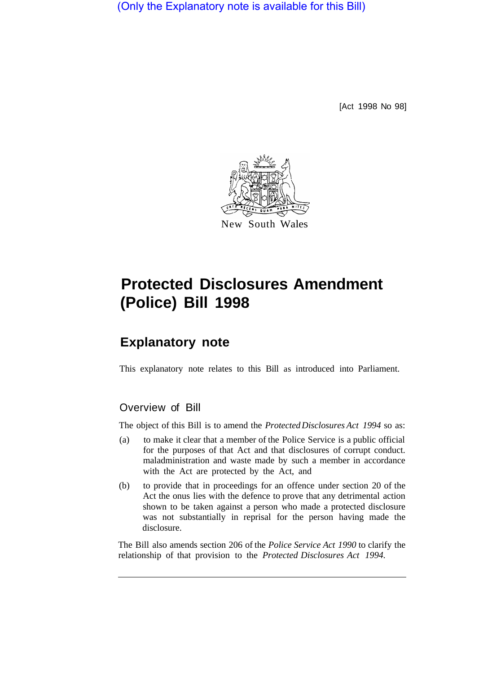(Only the Explanatory note is available for this Bill)

[Act 1998 No 98]



# **Protected Disclosures Amendment (Police) Bill 1998**

# **Explanatory note**

This explanatory note relates to this Bill as introduced into Parliament.

## Overview of Bill

The object of this Bill is to amend the *Protected Disclosures Act 1994* so as:

- (a) to make it clear that a member of the Police Service is a public official for the purposes of that Act and that disclosures of corrupt conduct. maladministration and waste made by such a member in accordance with the Act are protected by the Act, and
- (b) to provide that in proceedings for an offence under section 20 of the Act the onus lies with the defence to prove that any detrimental action shown to be taken against a person who made a protected disclosure was not substantially in reprisal for the person having made the disclosure.

The Bill also amends section 206 of the *Police Service Act 1990* to clarify the relationship of that provision to the *Protected Disclosures Act 1994.*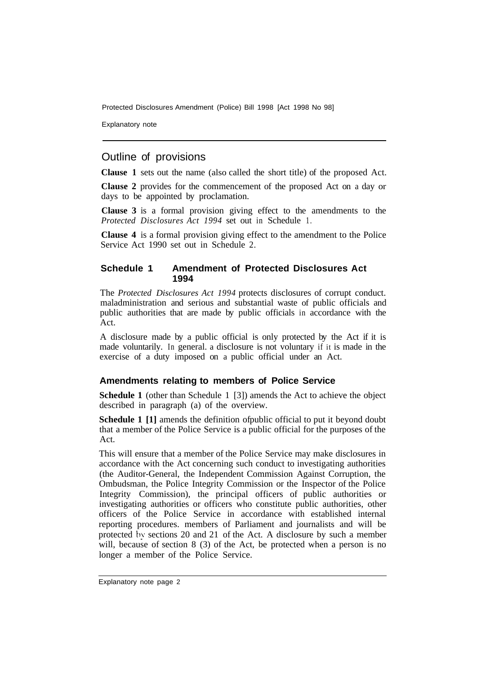Protected Disclosures Amendment (Police) Bill 1998 [Act 1998 No 98]

Explanatory note

## Outline of provisions

**Clause 1** sets out the name (also called the short title) of the proposed Act.

**Clause 2** provides for the commencement of the proposed Act on a day or days to be appointed by proclamation.

**Clause 3** is a formal provision giving effect to the amendments to the *Protected Disclosures Act 1994* set out in Schedule 1.

**Clause 4** is a formal provision giving effect to the amendment to the Police Service Act 1990 set out in Schedule 2.

#### **Schedule 1 Amendment of Protected Disclosures Act 1994**

The *Protected Disclosures Act 1994* protects disclosures of corrupt conduct. maladministration and serious and substantial waste of public officials and public authorities that are made by public officials in accordance with the Act.

A disclosure made by a public official is only protected by the Act if it is made voluntarily. In general. a disclosure is not voluntary if it is made in the exercise of a duty imposed on a public official under an Act.

#### **Amendments relating to members of Police Service**

**Schedule 1** (other than Schedule 1 [3]) amends the Act to achieve the object described in paragraph (a) of the overview.

**Schedule 1** [1] amends the definition of public official to put it beyond doubt that a member of the Police Service is a public official for the purposes of the Act.

This will ensure that a member of the Police Service may make disclosures in accordance with the Act concerning such conduct to investigating authorities (the Auditor-General, the Independent Commission Against Corruption, the Ombudsman, the Police Integrity Commission or the Inspector of the Police Integrity Commission), the principal officers of public authorities or investigating authorities or officers who constitute public authorities, other officers of the Police Service in accordance with established internal reporting procedures. members of Parliament and journalists and will be protected by sections 20 and 21 of the Act. A disclosure by such a member will, because of section 8 (3) of the Act, be protected when a person is no longer a member of the Police Service.